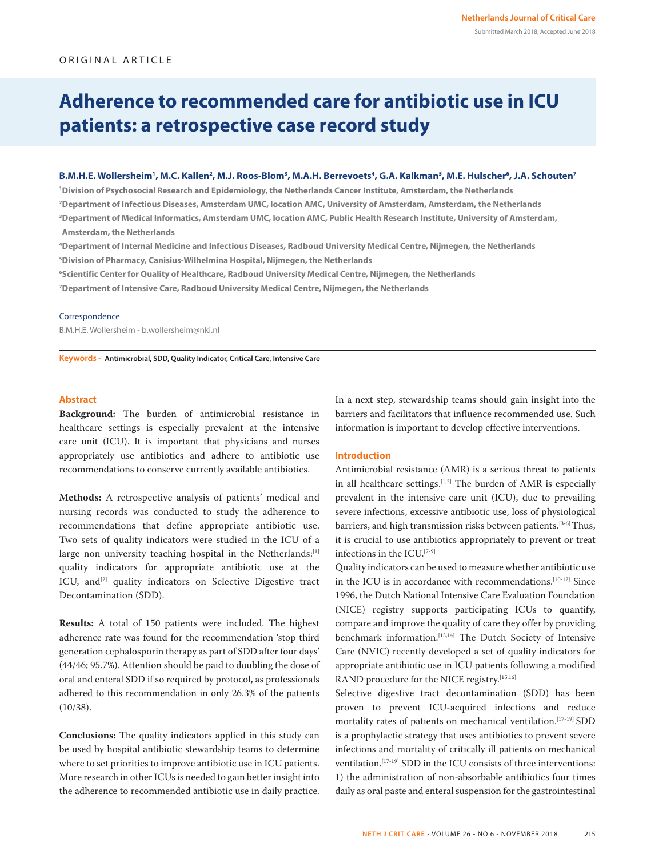# ORIGINAL ARTICLE

Submitted March 2018; Accepted June 2018

# **Adherence to recommended care for antibiotic use in ICU patients: a retrospective case record study**

# B.M.H.E. Wollersheim<sup>1</sup>, M.C. Kallen<sup>2</sup>, M.J. Roos-Blom<sup>3</sup>, M.A.H. Berrevoets<sup>4</sup>, G.A. Kalkman<sup>5</sup>, M.E. Hulscher<sup>6</sup>, J.A. Schouten<sup>7</sup>

 **Division of Psychosocial Research and Epidemiology, the Netherlands Cancer Institute, Amsterdam, the Netherlands Department of Infectious Diseases, Amsterdam UMC, location AMC, University of Amsterdam, Amsterdam, the Netherlands Department of Medical Informatics, Amsterdam UMC, location AMC, Public Health Research Institute, University of Amsterdam, Amsterdam, the Netherlands**

**4 Department of Internal Medicine and Infectious Diseases, Radboud University Medical Centre, Nijmegen, the Netherlands 5 Division of Pharmacy, Canisius-Wilhelmina Hospital, Nijmegen, the Netherlands**

**6 Scientific Center for Quality of Healthcare, Radboud University Medical Centre, Nijmegen, the Netherlands**

**7 Department of Intensive Care, Radboud University Medical Centre, Nijmegen, the Netherlands**

### Correspondence

B.M.H.E. Wollersheim - b.wollersheim@nki.nl

**Keywords - Antimicrobial, SDD, Quality Indicator, Critical Care, Intensive Care**

### **Abstract**

**Background:** The burden of antimicrobial resistance in healthcare settings is especially prevalent at the intensive care unit (ICU). It is important that physicians and nurses appropriately use antibiotics and adhere to antibiotic use recommendations to conserve currently available antibiotics.

**Methods:** A retrospective analysis of patients' medical and nursing records was conducted to study the adherence to recommendations that define appropriate antibiotic use. Two sets of quality indicators were studied in the ICU of a large non university teaching hospital in the Netherlands:[1] quality indicators for appropriate antibiotic use at the ICU, and<sup>[2]</sup> quality indicators on Selective Digestive tract Decontamination (SDD).

**Results:** A total of 150 patients were included. The highest adherence rate was found for the recommendation 'stop third generation cephalosporin therapy as part of SDD after four days' (44/46; 95.7%). Attention should be paid to doubling the dose of oral and enteral SDD if so required by protocol, as professionals adhered to this recommendation in only 26.3% of the patients (10/38).

**Conclusions:** The quality indicators applied in this study can be used by hospital antibiotic stewardship teams to determine where to set priorities to improve antibiotic use in ICU patients. More research in other ICUs is needed to gain better insight into the adherence to recommended antibiotic use in daily practice. In a next step, stewardship teams should gain insight into the barriers and facilitators that influence recommended use. Such information is important to develop effective interventions.

## **Introduction**

Antimicrobial resistance (AMR) is a serious threat to patients in all healthcare settings.<sup>[1,2]</sup> The burden of AMR is especially prevalent in the intensive care unit (ICU), due to prevailing severe infections, excessive antibiotic use, loss of physiological barriers, and high transmission risks between patients.<sup>[3-6]</sup> Thus, it is crucial to use antibiotics appropriately to prevent or treat infections in the ICU.[7-9]

Quality indicators can be used to measure whether antibiotic use in the ICU is in accordance with recommendations.[10-12] Since 1996, the Dutch National Intensive Care Evaluation Foundation (NICE) registry supports participating ICUs to quantify, compare and improve the quality of care they offer by providing benchmark information.[13,14] The Dutch Society of Intensive Care (NVIC) recently developed a set of quality indicators for appropriate antibiotic use in ICU patients following a modified RAND procedure for the NICE registry.[15,16]

Selective digestive tract decontamination (SDD) has been proven to prevent ICU-acquired infections and reduce mortality rates of patients on mechanical ventilation.[17-19] SDD is a prophylactic strategy that uses antibiotics to prevent severe infections and mortality of critically ill patients on mechanical ventilation.[17-19] SDD in the ICU consists of three interventions: 1) the administration of non-absorbable antibiotics four times daily as oral paste and enteral suspension for the gastrointestinal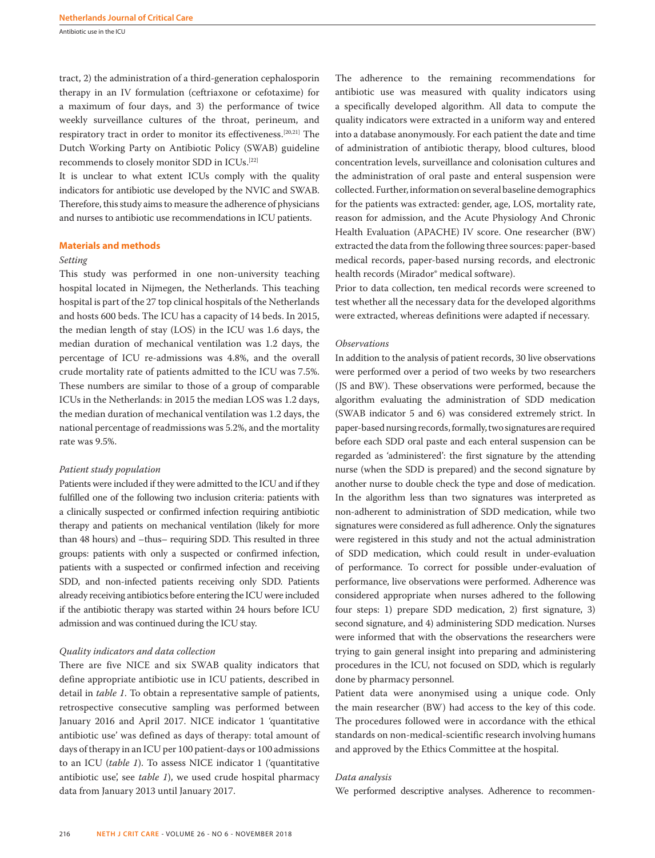Antibiotic use in the ICU

tract, 2) the administration of a third-generation cephalosporin therapy in an IV formulation (ceftriaxone or cefotaxime) for a maximum of four days, and 3) the performance of twice weekly surveillance cultures of the throat, perineum, and respiratory tract in order to monitor its effectiveness.[20,21] The Dutch Working Party on Antibiotic Policy (SWAB) guideline recommends to closely monitor SDD in ICUs.[22]

It is unclear to what extent ICUs comply with the quality indicators for antibiotic use developed by the NVIC and SWAB. Therefore, this study aims to measure the adherence of physicians and nurses to antibiotic use recommendations in ICU patients.

### **Materials and methods**

### *Setting*

This study was performed in one non-university teaching hospital located in Nijmegen, the Netherlands. This teaching hospital is part of the 27 top clinical hospitals of the Netherlands and hosts 600 beds. The ICU has a capacity of 14 beds. In 2015, the median length of stay (LOS) in the ICU was 1.6 days, the median duration of mechanical ventilation was 1.2 days, the percentage of ICU re-admissions was 4.8%, and the overall crude mortality rate of patients admitted to the ICU was 7.5%. These numbers are similar to those of a group of comparable ICUs in the Netherlands: in 2015 the median LOS was 1.2 days, the median duration of mechanical ventilation was 1.2 days, the national percentage of readmissions was 5.2%, and the mortality rate was 9.5%.

### *Patient study population*

Patients were included if they were admitted to the ICU and if they fulfilled one of the following two inclusion criteria: patients with a clinically suspected or confirmed infection requiring antibiotic therapy and patients on mechanical ventilation (likely for more than 48 hours) and –thus– requiring SDD. This resulted in three groups: patients with only a suspected or confirmed infection, patients with a suspected or confirmed infection and receiving SDD, and non-infected patients receiving only SDD. Patients already receiving antibiotics before entering the ICU were included if the antibiotic therapy was started within 24 hours before ICU admission and was continued during the ICU stay.

### *Quality indicators and data collection*

There are five NICE and six SWAB quality indicators that define appropriate antibiotic use in ICU patients, described in detail in *table 1*. To obtain a representative sample of patients, retrospective consecutive sampling was performed between January 2016 and April 2017. NICE indicator 1 'quantitative antibiotic use' was defined as days of therapy: total amount of days of therapy in an ICU per 100 patient-days or 100 admissions to an ICU (*table 1*). To assess NICE indicator 1 ('quantitative antibiotic use', see *table 1*), we used crude hospital pharmacy data from January 2013 until January 2017.

The adherence to the remaining recommendations for antibiotic use was measured with quality indicators using a specifically developed algorithm. All data to compute the quality indicators were extracted in a uniform way and entered into a database anonymously. For each patient the date and time of administration of antibiotic therapy, blood cultures, blood concentration levels, surveillance and colonisation cultures and the administration of oral paste and enteral suspension were collected. Further, information on several baseline demographics for the patients was extracted: gender, age, LOS, mortality rate, reason for admission, and the Acute Physiology And Chronic Health Evaluation (APACHE) IV score. One researcher (BW) extracted the data from the following three sources: paper-based medical records, paper-based nursing records, and electronic health records (Mirador® medical software).

Prior to data collection, ten medical records were screened to test whether all the necessary data for the developed algorithms were extracted, whereas definitions were adapted if necessary.

# *Observations*

In addition to the analysis of patient records, 30 live observations were performed over a period of two weeks by two researchers (JS and BW). These observations were performed, because the algorithm evaluating the administration of SDD medication (SWAB indicator 5 and 6) was considered extremely strict. In paper-based nursing records, formally, two signatures are required before each SDD oral paste and each enteral suspension can be regarded as 'administered': the first signature by the attending nurse (when the SDD is prepared) and the second signature by another nurse to double check the type and dose of medication. In the algorithm less than two signatures was interpreted as non-adherent to administration of SDD medication, while two signatures were considered as full adherence. Only the signatures were registered in this study and not the actual administration of SDD medication, which could result in under-evaluation of performance. To correct for possible under-evaluation of performance, live observations were performed. Adherence was considered appropriate when nurses adhered to the following four steps: 1) prepare SDD medication, 2) first signature, 3) second signature, and 4) administering SDD medication. Nurses were informed that with the observations the researchers were trying to gain general insight into preparing and administering procedures in the ICU, not focused on SDD, which is regularly done by pharmacy personnel.

Patient data were anonymised using a unique code. Only the main researcher (BW) had access to the key of this code. The procedures followed were in accordance with the ethical standards on non-medical-scientific research involving humans and approved by the Ethics Committee at the hospital.

### *Data analysis*

We performed descriptive analyses. Adherence to recommen-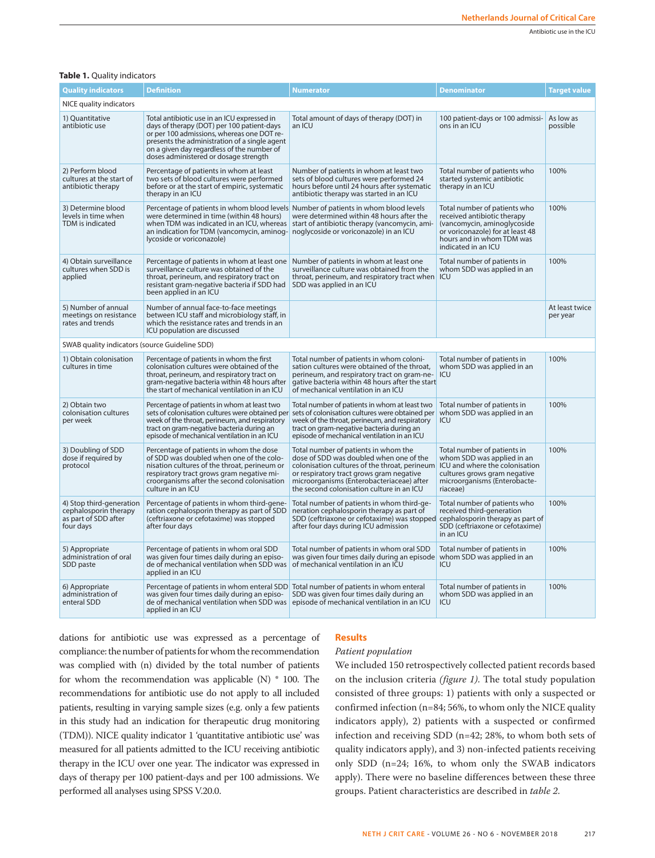# **Table 1.** Quality indicators

| <b>Quality indicators</b>                                                              | <b>Definition</b>                                                                                                                                                                                                                                                               | <b>Numerator</b>                                                                                                                                                                                                                                                       | <b>Denominator</b>                                                                                                                                                                 | <b>Target value</b>        |
|----------------------------------------------------------------------------------------|---------------------------------------------------------------------------------------------------------------------------------------------------------------------------------------------------------------------------------------------------------------------------------|------------------------------------------------------------------------------------------------------------------------------------------------------------------------------------------------------------------------------------------------------------------------|------------------------------------------------------------------------------------------------------------------------------------------------------------------------------------|----------------------------|
| NICE quality indicators                                                                |                                                                                                                                                                                                                                                                                 |                                                                                                                                                                                                                                                                        |                                                                                                                                                                                    |                            |
| 1) Quantitative<br>antibiotic use                                                      | Total antibiotic use in an ICU expressed in<br>days of therapy (DOT) per 100 patient-days<br>or per 100 admissions, whereas one DOT re-<br>presents the administration of a single agent<br>on a given day regardless of the number of<br>doses administered or dosage strength | Total amount of days of therapy (DOT) in<br>an ICU                                                                                                                                                                                                                     | 100 patient-days or 100 admissi-<br>ons in an ICU                                                                                                                                  | As low as<br>possible      |
| 2) Perform blood<br>cultures at the start of<br>antibiotic therapy                     | Percentage of patients in whom at least<br>two sets of blood cultures were performed<br>before or at the start of empiric, systematic<br>therapy in an ICU                                                                                                                      | Number of patients in whom at least two<br>sets of blood cultures were performed 24<br>hours before until 24 hours after systematic<br>antibiotic therapy was started in an ICU                                                                                        | Total number of patients who<br>started systemic antibiotic<br>therapy in an ICU                                                                                                   | 100%                       |
| 3) Determine blood<br>levels in time when<br>TDM is indicated                          | Percentage of patients in whom blood levels Number of patients in whom blood levels<br>were determined in time (within 48 hours)<br>when TDM was indicated in an ICU, whereas<br>an indication for TDM (vancomycin, aminog-<br>lycoside or voriconazole)                        | were determined within 48 hours after the<br>start of antibiotic therapy (vancomycin, ami-<br>noglycoside or voriconazole) in an ICU                                                                                                                                   | Total number of patients who<br>received antibiotic therapy<br>(vancomycin, aminoglycoside<br>or voriconazole) for at least 48<br>hours and in whom TDM was<br>indicated in an ICU | 100%                       |
| 4) Obtain surveillance<br>cultures when SDD is<br>applied                              | Percentage of patients in whom at least one<br>surveillance culture was obtained of the<br>throat, perineum, and respiratory tract on<br>resistant gram-negative bacteria if SDD had<br>been applied in an ICU                                                                  | Number of patients in whom at least one<br>surveillance culture was obtained from the<br>throat, perineum, and respiratory tract when ICU<br>SDD was applied in an ICU                                                                                                 | Total number of patients in<br>whom SDD was applied in an                                                                                                                          | 100%                       |
| 5) Number of annual<br>meetings on resistance<br>rates and trends                      | Number of annual face-to-face meetings<br>between ICU staff and microbiology staff, in<br>which the resistance rates and trends in an<br>ICU population are discussed                                                                                                           |                                                                                                                                                                                                                                                                        |                                                                                                                                                                                    | At least twice<br>per year |
| SWAB quality indicators (source Guideline SDD)                                         |                                                                                                                                                                                                                                                                                 |                                                                                                                                                                                                                                                                        |                                                                                                                                                                                    |                            |
| 1) Obtain colonisation<br>cultures in time                                             | Percentage of patients in whom the first<br>colonisation cultures were obtained of the<br>throat, perineum, and respiratory tract on<br>gram-negative bacteria within 48 hours after<br>the start of mechanical ventilation in an ICU                                           | Total number of patients in whom coloni-<br>sation cultures were obtained of the throat,<br>perineum, and respiratory tract on gram-ne-<br>gative bacteria within 48 hours after the start<br>of mechanical ventilation in an ICU                                      | Total number of patients in<br>whom SDD was applied in an<br>ICU                                                                                                                   | 100%                       |
| 2) Obtain two<br>colonisation cultures<br>per week                                     | Percentage of patients in whom at least two<br>sets of colonisation cultures were obtained per<br>week of the throat, perineum, and respiratory<br>tract on gram-negative bacteria during an<br>episode of mechanical ventilation in an ICU                                     | Total number of patients in whom at least two<br>sets of colonisation cultures were obtained per<br>week of the throat, perineum, and respiratory<br>tract on gram-negative bacteria during an<br>episode of mechanical ventilation in an ICU                          | Total number of patients in<br>whom SDD was applied in an<br>ICU                                                                                                                   | 100%                       |
| 3) Doubling of SDD<br>dose if required by<br>protocol                                  | Percentage of patients in whom the dose<br>of SDD was doubled when one of the colo-<br>nisation cultures of the throat, perineum or<br>respiratory tract grows gram negative mi-<br>croorganisms after the second colonisation<br>culture in an ICU                             | Total number of patients in whom the<br>dose of SDD was doubled when one of the<br>colonisation cultures of the throat, perineum<br>or respiratory tract grows gram negative<br>microorganisms (Enterobacteriaceae) after<br>the second colonisation culture in an ICU | Total number of patients in<br>whom SDD was applied in an<br>ICU and where the colonisation<br>cultures grows gram negative<br>microorganisms (Enterobacte-<br>riaceae)            | 100%                       |
| 4) Stop third-generation<br>cephalosporin therapy<br>as part of SDD after<br>four days | Percentage of patients in whom third-gene-<br>ration cephalosporin therapy as part of SDD<br>(ceftriaxone or cefotaxime) was stopped<br>after four days                                                                                                                         | Total number of patients in whom third-ge-<br>neration cephalosporin therapy as part of<br>SDD (ceftriaxone or cefotaxime) was stopped cephalosporin therapy as part of<br>after four days during ICU admission                                                        | Total number of patients who<br>received third-generation<br>SDD (ceftriaxone or cefotaxime)<br>in an ICU                                                                          | 100%                       |
| 5) Appropriate<br>administration of oral<br>SDD paste                                  | Percentage of patients in whom oral SDD<br>was given four times daily during an episo-<br>de of mechanical ventilation when SDD was<br>applied in an ICU                                                                                                                        | Total number of patients in whom oral SDD<br>was given four times daily during an episode<br>of mechanical ventilation in an ICU                                                                                                                                       | Total number of patients in<br>whom SDD was applied in an<br>ICU                                                                                                                   | 100%                       |
| 6) Appropriate<br>administration of<br>enteral SDD                                     | Percentage of patients in whom enteral SDD<br>was given four times daily during an episo-<br>de of mechanical ventilation when SDD was<br>applied in an ICU                                                                                                                     | Total number of patients in whom enteral<br>SDD was given four times daily during an<br>episode of mechanical ventilation in an ICU                                                                                                                                    | Total number of patients in<br>whom SDD was applied in an<br>ICU                                                                                                                   | 100%                       |

dations for antibiotic use was expressed as a percentage of compliance: the number of patients for whom the recommendation was complied with (n) divided by the total number of patients for whom the recommendation was applicable (N) \* 100. The recommendations for antibiotic use do not apply to all included patients, resulting in varying sample sizes (e.g. only a few patients in this study had an indication for therapeutic drug monitoring (TDM)). NICE quality indicator 1 'quantitative antibiotic use' was measured for all patients admitted to the ICU receiving antibiotic therapy in the ICU over one year. The indicator was expressed in days of therapy per 100 patient-days and per 100 admissions. We performed all analyses using SPSS V.20.0.

# **Results**

# *Patient population*

We included 150 retrospectively collected patient records based on the inclusion criteria *(figure 1)*. The total study population consisted of three groups: 1) patients with only a suspected or confirmed infection (n=84; 56%, to whom only the NICE quality indicators apply), 2) patients with a suspected or confirmed infection and receiving SDD (n=42; 28%, to whom both sets of quality indicators apply), and 3) non-infected patients receiving only SDD (n=24; 16%, to whom only the SWAB indicators apply). There were no baseline differences between these three groups. Patient characteristics are described in *table 2*.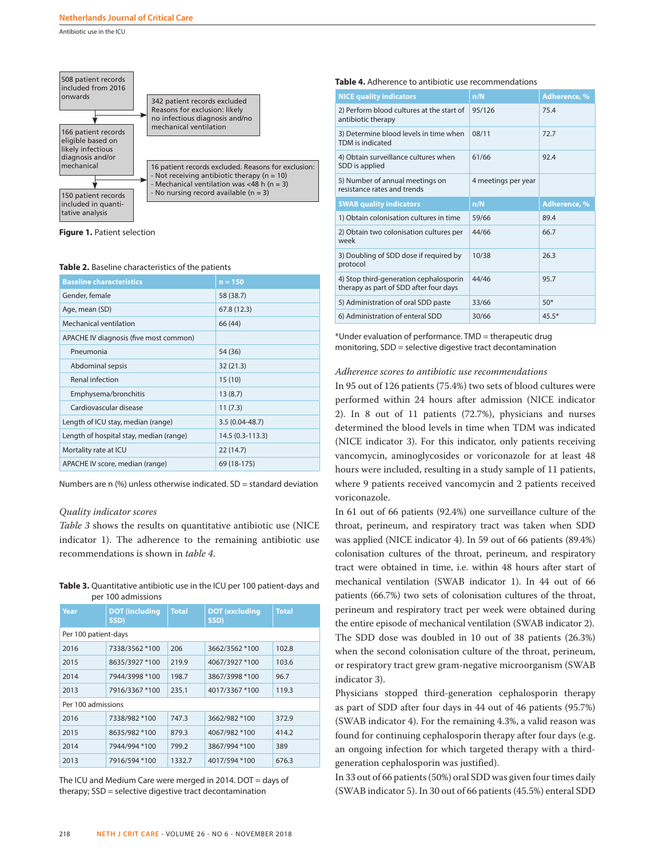Antibiotic use in the ICU



**Figure 1.** Patient selection

### **Table 2.** Baseline characteristics of the patients

| <b>Baseline characteristics</b>         | $n = 150$        |
|-----------------------------------------|------------------|
| Gender, female                          | 58 (38.7)        |
| Age, mean (SD)                          | 67.8 (12.3)      |
| Mechanical ventilation                  | 66 (44)          |
| APACHE IV diagnosis (five most common)  |                  |
| Pneumonia                               | 54 (36)          |
| Abdominal sepsis                        | 32 (21.3)        |
| Renal infection                         | 15(10)           |
| Emphysema/bronchitis                    | 13(8.7)          |
| Cardiovascular disease                  | 11(7.3)          |
| Length of ICU stay, median (range)      | $3.5(0.04-48.7)$ |
| Length of hospital stay, median (range) | 14.5 (0.3-113.3) |
| Mortality rate at ICU                   | 22(14.7)         |
| APACHE IV score, median (range)         | 69 (18-175)      |

Numbers are n (%) unless otherwise indicated. SD = standard deviation

### *Quality indicator scores*

*Table 3* shows the results on quantitative antibiotic use (NICE indicator 1). The adherence to the remaining antibiotic use recommendations is shown in *table 4*.

**Table 3.** Quantitative antibiotic use in the ICU per 100 patient-days and per 100 admissions

| Year                 | <b>DOT</b> (including<br>SSD) | <b>Total</b> | <b>DOT</b> (excluding<br>SSD) | <b>Total</b> |  |  |  |
|----------------------|-------------------------------|--------------|-------------------------------|--------------|--|--|--|
| Per 100 patient-days |                               |              |                               |              |  |  |  |
| 2016                 | 7338/3562 *100                | 206          | 3662/3562 *100                | 102.8        |  |  |  |
| 2015                 | 8635/3927 *100                | 219.9        | 4067/3927 *100                | 103.6        |  |  |  |
| 2014                 | 7944/3998 *100                | 198.7        | 3867/3998 *100                | 96.7         |  |  |  |
| 2013                 | 7916/3367 *100                | 235.1        | 4017/3367 *100                | 119.3        |  |  |  |
| Per 100 admissions   |                               |              |                               |              |  |  |  |
| 2016                 | 7338/982 *100                 | 747.3        | 3662/982 *100                 | 372.9        |  |  |  |
| 2015                 | 8635/982 *100                 | 879.3        | 4067/982 *100                 | 414.2        |  |  |  |
| 2014                 | 7944/994 *100                 | 799.2        | 3867/994 *100                 | 389          |  |  |  |
| 2013                 | 7916/594 *100                 | 1332.7       | 4017/594 *100                 | 676.3        |  |  |  |

The ICU and Medium Care were merged in 2014. DOT = days of therapy; SSD = selective digestive tract decontamination

### **Table 4.** Adherence to antibiotic use recommendations

| <b>NICE quality indicators</b>                                                   | n/N                 | <b>Adherence, %</b> |
|----------------------------------------------------------------------------------|---------------------|---------------------|
| 2) Perform blood cultures at the start of<br>antibiotic therapy                  | 95/126              | 75.4                |
| 3) Determine blood levels in time when<br>TDM is indicated                       | 08/11               | 72.7                |
| 4) Obtain surveillance cultures when<br>SDD is applied                           | 61/66               | 92.4                |
| 5) Number of annual meetings on<br>resistance rates and trends                   | 4 meetings per year |                     |
| <b>SWAB quality indicators</b>                                                   | n/N                 | Adherence, %        |
| 1) Obtain colonisation cultures in time                                          | 59/66               | 89.4                |
| 2) Obtain two colonisation cultures per<br>week                                  | 44/66               | 66.7                |
| 3) Doubling of SDD dose if required by<br>protocol                               | 10/38               | 26.3                |
| 4) Stop third-generation cephalosporin<br>therapy as part of SDD after four days | 44/46               | 95.7                |
| 5) Administration of oral SDD paste                                              | 33/66               | $50*$               |
| 6) Administration of enteral SDD                                                 | 30/66               | $45.5*$             |

\*Under evaluation of performance. TMD = therapeutic drug monitoring, SDD = selective digestive tract decontamination

### *Adherence scores to antibiotic use recommendations*

In 95 out of 126 patients (75.4%) two sets of blood cultures were performed within 24 hours after admission (NICE indicator 2). In 8 out of 11 patients (72.7%), physicians and nurses determined the blood levels in time when TDM was indicated (NICE indicator 3). For this indicator, only patients receiving vancomycin, aminoglycosides or voriconazole for at least 48 hours were included, resulting in a study sample of 11 patients, where 9 patients received vancomycin and 2 patients received voriconazole.

In 61 out of 66 patients (92.4%) one surveillance culture of the throat, perineum, and respiratory tract was taken when SDD was applied (NICE indicator 4). In 59 out of 66 patients (89.4%) colonisation cultures of the throat, perineum, and respiratory tract were obtained in time, i.e. within 48 hours after start of mechanical ventilation (SWAB indicator 1). In 44 out of 66 patients (66.7%) two sets of colonisation cultures of the throat, perineum and respiratory tract per week were obtained during the entire episode of mechanical ventilation (SWAB indicator 2). The SDD dose was doubled in 10 out of 38 patients (26.3%) when the second colonisation culture of the throat, perineum, or respiratory tract grew gram-negative microorganism (SWAB indicator 3).

Physicians stopped third-generation cephalosporin therapy as part of SDD after four days in 44 out of 46 patients (95.7%) (SWAB indicator 4). For the remaining 4.3%, a valid reason was found for continuing cephalosporin therapy after four days (e.g. an ongoing infection for which targeted therapy with a thirdgeneration cephalosporin was justified).

In 33 out of 66 patients (50%) oral SDD was given four times daily (SWAB indicator 5). In 30 out of 66 patients (45.5%) enteral SDD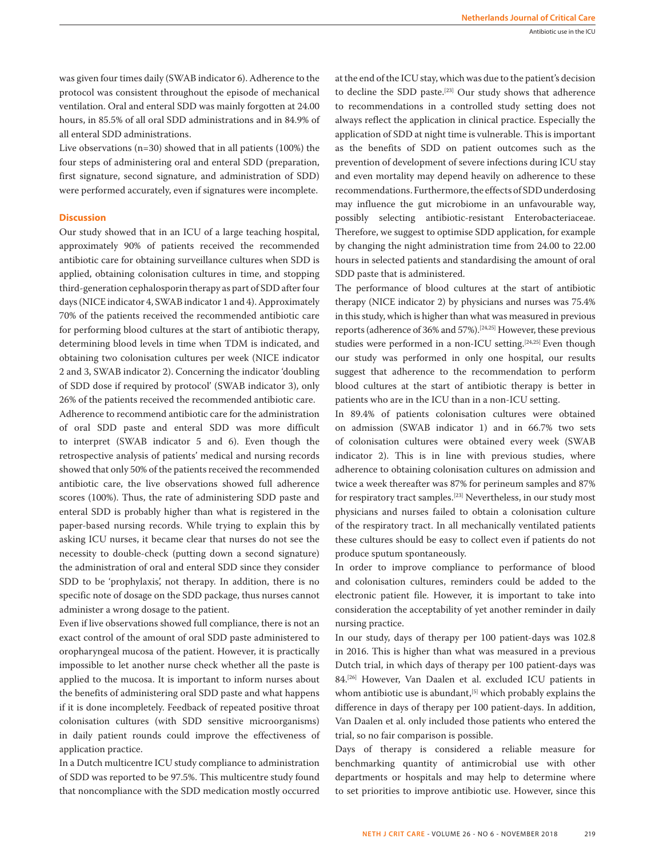was given four times daily (SWAB indicator 6). Adherence to the protocol was consistent throughout the episode of mechanical ventilation. Oral and enteral SDD was mainly forgotten at 24.00 hours, in 85.5% of all oral SDD administrations and in 84.9% of all enteral SDD administrations.

Live observations (n=30) showed that in all patients (100%) the four steps of administering oral and enteral SDD (preparation, first signature, second signature, and administration of SDD) were performed accurately, even if signatures were incomplete.

### **Discussion**

Our study showed that in an ICU of a large teaching hospital, approximately 90% of patients received the recommended antibiotic care for obtaining surveillance cultures when SDD is applied, obtaining colonisation cultures in time, and stopping third-generation cephalosporin therapy as part of SDD after four days (NICE indicator 4, SWAB indicator 1 and 4). Approximately 70% of the patients received the recommended antibiotic care for performing blood cultures at the start of antibiotic therapy, determining blood levels in time when TDM is indicated, and obtaining two colonisation cultures per week (NICE indicator 2 and 3, SWAB indicator 2). Concerning the indicator 'doubling of SDD dose if required by protocol' (SWAB indicator 3), only 26% of the patients received the recommended antibiotic care. Adherence to recommend antibiotic care for the administration of oral SDD paste and enteral SDD was more difficult to interpret (SWAB indicator 5 and 6). Even though the retrospective analysis of patients' medical and nursing records showed that only 50% of the patients received the recommended antibiotic care, the live observations showed full adherence scores (100%). Thus, the rate of administering SDD paste and enteral SDD is probably higher than what is registered in the paper-based nursing records. While trying to explain this by asking ICU nurses, it became clear that nurses do not see the necessity to double-check (putting down a second signature) the administration of oral and enteral SDD since they consider SDD to be 'prophylaxis', not therapy. In addition, there is no specific note of dosage on the SDD package, thus nurses cannot administer a wrong dosage to the patient.

Even if live observations showed full compliance, there is not an exact control of the amount of oral SDD paste administered to oropharyngeal mucosa of the patient. However, it is practically impossible to let another nurse check whether all the paste is applied to the mucosa. It is important to inform nurses about the benefits of administering oral SDD paste and what happens if it is done incompletely. Feedback of repeated positive throat colonisation cultures (with SDD sensitive microorganisms) in daily patient rounds could improve the effectiveness of application practice.

In a Dutch multicentre ICU study compliance to administration of SDD was reported to be 97.5%. This multicentre study found that noncompliance with the SDD medication mostly occurred

at the end of the ICU stay, which was due to the patient's decision to decline the SDD paste.[23] Our study shows that adherence to recommendations in a controlled study setting does not always reflect the application in clinical practice. Especially the application of SDD at night time is vulnerable. This is important as the benefits of SDD on patient outcomes such as the prevention of development of severe infections during ICU stay and even mortality may depend heavily on adherence to these recommendations. Furthermore, the effects of SDD underdosing may influence the gut microbiome in an unfavourable way, possibly selecting antibiotic-resistant Enterobacteriaceae. Therefore, we suggest to optimise SDD application, for example by changing the night administration time from 24.00 to 22.00 hours in selected patients and standardising the amount of oral SDD paste that is administered.

The performance of blood cultures at the start of antibiotic therapy (NICE indicator 2) by physicians and nurses was 75.4% in this study, which is higher than what was measured in previous reports (adherence of 36% and 57%).[24,25] However, these previous studies were performed in a non-ICU setting.<sup>[24,25]</sup> Even though our study was performed in only one hospital, our results suggest that adherence to the recommendation to perform blood cultures at the start of antibiotic therapy is better in patients who are in the ICU than in a non-ICU setting.

In 89.4% of patients colonisation cultures were obtained on admission (SWAB indicator 1) and in 66.7% two sets of colonisation cultures were obtained every week (SWAB indicator 2). This is in line with previous studies, where adherence to obtaining colonisation cultures on admission and twice a week thereafter was 87% for perineum samples and 87% for respiratory tract samples.[23] Nevertheless, in our study most physicians and nurses failed to obtain a colonisation culture of the respiratory tract. In all mechanically ventilated patients these cultures should be easy to collect even if patients do not produce sputum spontaneously.

In order to improve compliance to performance of blood and colonisation cultures, reminders could be added to the electronic patient file. However, it is important to take into consideration the acceptability of yet another reminder in daily nursing practice.

In our study, days of therapy per 100 patient-days was 102.8 in 2016. This is higher than what was measured in a previous Dutch trial, in which days of therapy per 100 patient-days was 84.[26] However, Van Daalen et al. excluded ICU patients in whom antibiotic use is abundant,<sup>[5]</sup> which probably explains the difference in days of therapy per 100 patient-days. In addition, Van Daalen et al. only included those patients who entered the trial, so no fair comparison is possible.

Days of therapy is considered a reliable measure for benchmarking quantity of antimicrobial use with other departments or hospitals and may help to determine where to set priorities to improve antibiotic use. However, since this